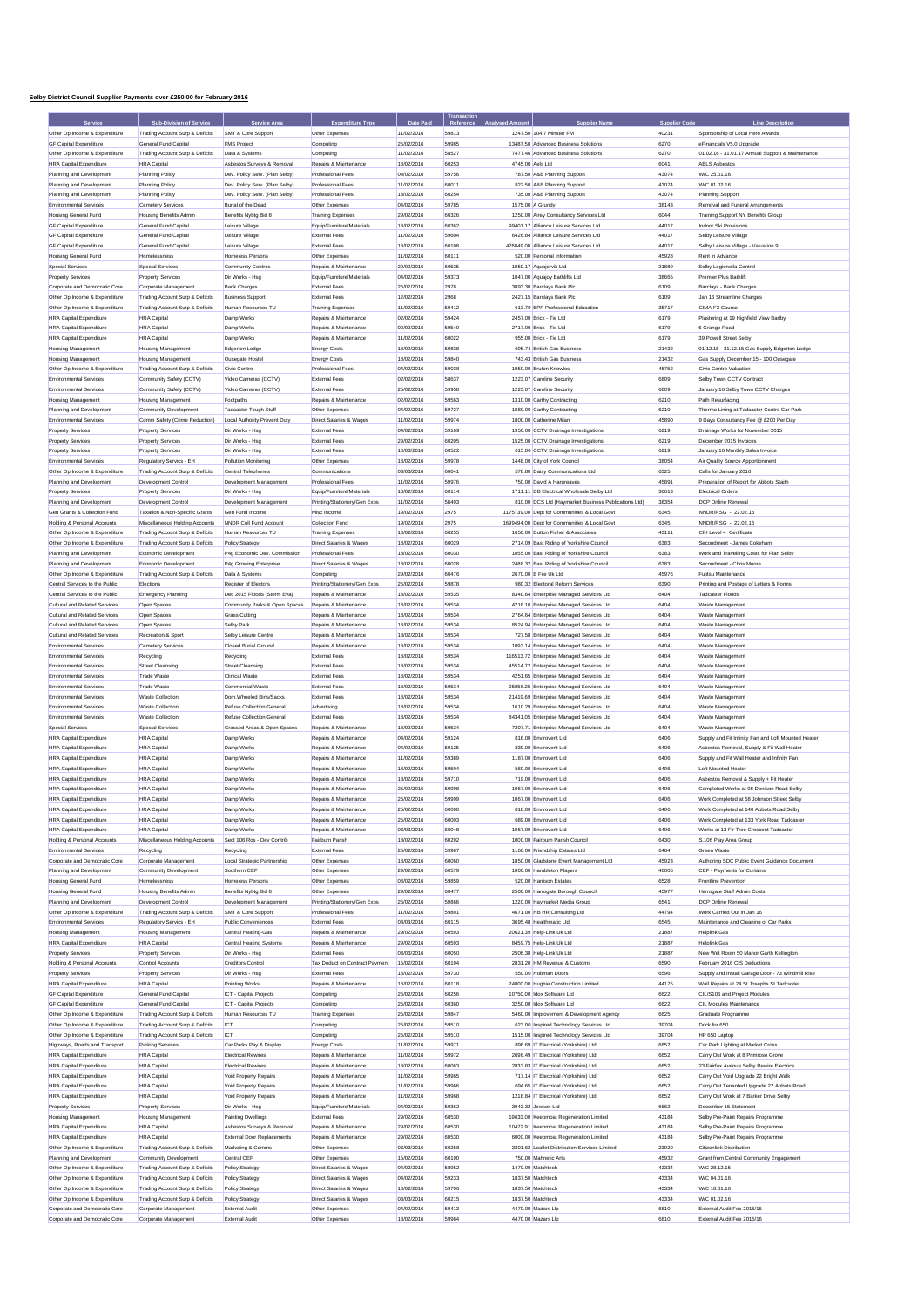## **Selby District Council Supplier Payments over £250.00 for February 2016**

|                                                                  | <b>Sub-Division of Service</b>                                     | Service Area                                         | <b>Expenditure Type</b>                               | Date Paid                | Transaction<br>Reference |                  | Supplier Name                                                                     |                | <b>Line Description</b>                                                                |
|------------------------------------------------------------------|--------------------------------------------------------------------|------------------------------------------------------|-------------------------------------------------------|--------------------------|--------------------------|------------------|-----------------------------------------------------------------------------------|----------------|----------------------------------------------------------------------------------------|
| Other Op Income & Expenditure                                    | Trading Account Surp & Deficits                                    | SMT & Core Support                                   | Other Expenses                                        | 11/02/2016               | 59813                    |                  | 1247.50 104.7 Minster FM                                                          | 40231          | Sponsorship of Local Hero Awards                                                       |
| <b>GF Capital Expenditure</b>                                    | General Fund Capital                                               | <b>FMS Project</b>                                   | Computing                                             | 25/02/2016               | 59985                    |                  | 13487.50 Advanced Business Solutions                                              | 6270           | eFinancials V5.0 Upgrade                                                               |
| Other Op Income & Expenditure                                    | Trading Account Surp & Deficits                                    | Data & Systems                                       | Computing                                             | 11/02/2016               | 58527                    |                  | 7477.46 Advanced Business Solutions                                               | 6270           | 01.02.16 - 31.01.17 Annual Support & Maintenance                                       |
| <b>HRA Capital Expenditure</b>                                   | <b>HRA</b> Capital                                                 | Asbestos Surveys & Removal                           | Repairs & Maintenance                                 | 18/02/2016               | 60253                    | 4745.00 Aels Ltd |                                                                                   | 6041           | <b>AELS Asbestos</b>                                                                   |
| Planning and Development                                         | Planning Policy                                                    | Dev. Policy Serv. (Plan Selby)                       | Professional Fees                                     | 04/02/2016               | 59756                    |                  | 787.50 A&E Planning Support                                                       | 43074          | W/C 25.01.16                                                                           |
| Planning and Development                                         | Planning Policy                                                    | Dev. Policy Serv. (Plan Selby)                       | Professional Fees                                     | 11/02/2016               | 60011                    |                  | 822.50 A&E Planning Support                                                       | 43074          | W/C 01.02.16                                                                           |
| Planning and Development                                         | Planning Policy                                                    | Dev. Policy Serv. (Plan Selby)                       | Professional Fees                                     | 18/02/2016               | 60254                    |                  | 735.00 A&E Planning Support                                                       | 43074          | Planning Support                                                                       |
| <b>Environmental Services</b>                                    | Cemetery Services                                                  | <b>Burial of the Dead</b>                            | Other Expenses                                        | 04/02/2016               | 59785                    |                  | 1575.00 A Grundy                                                                  | 38143          | Removal and Funeral Arrangements                                                       |
| Housing General Fund<br><b>GF Capital Expenditure</b>            | Housing Benefits Admin<br>General Fund Capita                      | Benefits Nybtg Bid 8<br>Leisure Village              | <b>Training Expenses</b><br>Equip/Furniture/Materials | 29/02/2016<br>18/02/2016 | 60326<br>60362           |                  | 1250.00 Airey Consultancy Services Ltd<br>99401.17 Alliance Leisure Services Ltd  | 6044<br>44017  | Training Support NY Benefits Group<br>Indoor Ski Provisions                            |
| <b>GF Capital Expenditure</b>                                    | General Fund Capital                                               | Leisure Village                                      | External Fees                                         | 11/02/2016               | 59604                    |                  | 6426.84 Alliance Leisure Services Ltd                                             | 44017          | Selby Leisure Village                                                                  |
| <b>GF Capital Expenditure</b>                                    | General Fund Capital                                               | Leisure Village                                      | External Fees                                         | 18/02/2016               | 60108                    |                  | 476849.08 Alliance Leisure Services Ltd                                           | 44017          | Selby Leisure Village - Valuation 9                                                    |
| <b>Housing General Fund</b>                                      | Homelessness                                                       | Homeless Persons                                     | Other Expenses                                        | 11/02/2016               | 60111                    |                  | 520.00 Personal Information                                                       | 45928          | Rent in Advance                                                                        |
| <b>Special Services</b>                                          | Special Services                                                   | Community Centres                                    | Repairs & Maintenance                                 | 29/02/2016               | 60535                    |                  | 1059.17 Aquajorvik Ltd                                                            | 21880          | Selby Legionella Control                                                               |
| <b>Property Services</b>                                         | <b>Property Services</b>                                           | Dir Works - Hsg                                      | Fouin/Furniture/Materials                             | 04/02/2016               | 59373                    |                  | 1047.00 Aquajoy Bathlifts Ltd                                                     | 38665          | Premier Plus Bathlift                                                                  |
| Corporate and Democratic Core                                    | Corporate Management                                               | <b>Bank Charges</b>                                  | External Fees                                         | 26/02/2016               | 2978                     |                  | 3893.30 Barclays Bank Plc                                                         | 6109           | Barclays - Bank Charges                                                                |
| Other Op Income & Expenditure                                    | Trading Account Surp & Deficits                                    | <b>Business Support</b>                              | External Fees                                         | 12/02/2016               | 2968                     |                  | 2427.15 Barclays Bank Plc                                                         | 6109           | Jan 16 Streamline Charnes                                                              |
| Other On Income & Expenditure                                    | Trading Account Surp & Deficits                                    | Human Resources TU                                   | Training Expenses                                     | 11/02/2016               | 59412                    |                  | 613.79 BPP Professional Education                                                 | 35717          | CIMA E3 Course                                                                         |
| <b>HRA Capital Expenditure</b>                                   | <b>HRA</b> Capital                                                 | Damp Works                                           | Repairs & Maintenance                                 | 02/02/2016               | 59424                    |                  | 2457.00 Brick - Tie Ltd                                                           | 6179           | Plastering at 19 Highfield View Barlby                                                 |
| <b>HRA Capital Expenditure</b>                                   | <b>HRA</b> Capital                                                 | Damp Works                                           | Repairs & Maintenance                                 | 02/02/2016               | 59540                    |                  | 2717.00 Brick - Tie Ltd                                                           | 6179           | 6 Grange Road                                                                          |
| <b>HRA Capital Expenditure</b>                                   | <b>HRA</b> Capital                                                 | Damp Works                                           | Repairs & Maintenance                                 | 11/02/2016               | 60022<br>59838           |                  | 955.00 Brick - Tie Ltd                                                            | 6179<br>21432  | 39 Powell Street Selby                                                                 |
| <b>Housing Management</b><br><b>Housing Management</b>           | <b>Housing Management</b><br><b>Housing Management</b>             | Edgerton Lodge<br>Ousegate Hostel                    | <b>Energy Costs</b><br><b>Energy Costs</b>            | 18/02/2016<br>18/02/2016 | 59840                    |                  | 695.74 British Gas Business<br>743.43 British Gas Business                        | 21432          | 01.12.15 - 31.12.15 Gas Supply Edgerton Lodge<br>Gas Supply December 15 - 100 Ousegate |
| Other Op Income & Expenditure                                    | Trading Account Surp & Deficits                                    | Civic Centre                                         | Professional Fees                                     | 04/02/2016               | 59038                    |                  | 1950.00 Bruton Knowles                                                            | 45752          | Civic Centre Valuation                                                                 |
| <b>Environmental Services</b>                                    | Community Safety (CCTV)                                            | Video Cameras (CCTV)                                 | External Fees                                         | 02/02/2016               | 58637                    |                  | 1223.07 Careline Security                                                         | 6809           | Selby Town CCTV Contract                                                               |
| Environmental Services                                           | Community Safety (CCTV)                                            | Video Cameras (CCTV)                                 | External Fees                                         | 25/02/2016               | 59958                    |                  | 1223.07 Careline Security                                                         | 6809           | January 16 Selby Town CCTV Charges                                                     |
| <b>Housing Management</b>                                        | <b>Housing Management</b>                                          | Footpaths                                            | Repairs & Maintenance                                 | 02/02/2016               | 59563                    |                  | 1310.00 Carthy Contracting                                                        | 6210           | Path Resurfacing                                                                       |
| Planning and Development                                         | Community Development                                              | <b>Tadcaster Tough Stuff</b>                         | Other Expenses                                        | 04/02/2016               | 59727                    |                  | 1080.00 Carthy Contracting                                                        | 6210           | Thermo Lining at Tadcaster Centre Car Park                                             |
| <b>Environmental Services</b>                                    | Comm Safety (Crime Reduction)                                      | Local Authority Prevent Duty                         | Direct Salaries & Wages                               | 11/02/2016               | 59974                    |                  | 1800.00 Catherine Milan                                                           | 45890          | 9 Days Consultancy Fee @ £200 Per Day                                                  |
| <b>Property Services</b>                                         | <b>Property Services</b>                                           | Dir Works - Hsg                                      | External Fees                                         | 04/02/2016               | 59169                    |                  | 1950.00 CCTV Drainage Investigations                                              | 6219           | Drainage Works for November 2015                                                       |
| <b>Property Services</b>                                         | <b>Property Services</b>                                           | Dir Works - Hsg                                      | External Fees                                         | 29/02/2016               | 60205                    |                  | 1525.00 CCTV Drainage Investigations                                              | 6219           | December 2015 Invoices                                                                 |
| <b>Property Services</b>                                         | Property Services                                                  | Dir Works - Hsg                                      | External Fees                                         | 10/03/2016               | 60522                    |                  | 615.00 CCTV Drainage Investigations                                               | 6219           | January 16 Monthly Sales Invoice                                                       |
| <b>Environmental Services</b>                                    | Regulatory Servics - EH                                            | Pollution Monitoring                                 | Other Expenses                                        | 18/02/2016               | 59978                    |                  | 1448.00 City of York Council                                                      | 38054          | Air Quality Source Apportionment                                                       |
| Other Op Income & Expenditure                                    | Trading Account Surp & Deficits<br>Development Control             | Central Telephones<br><b>Development Management</b>  | Communications<br>Professional Fees                   | 03/03/2016<br>11/02/2016 | 60041<br>59976           |                  | 578.80 Daisy Communications Ltd<br>750.00 David A Hargreaves                      | 6325<br>45891  | Calls for January 2016<br>Prenaration of Report for Abbots Staith                      |
| Planning and Development<br><b>Property Services</b>             | Property Services                                                  | Dir Works - Hsg                                      | Equip/Furniture/Materials                             | 18/02/2016               | 60114                    |                  | 1711.11 DB Electrical Wholesale Selby Ltd                                         | 36613          | <b>Electrical Orders</b>                                                               |
| Planning and Development                                         | Development Control                                                | Development Management                               | Printing/Stationery/Gen Exps                          | 11/02/2016               | 58493                    |                  | 810.00 DCS Ltd (Haymarket Business Publications Ltd)                              | 38354          | DCP Online Renewal                                                                     |
| Gen Grants & Collection Fund                                     | Taxation & Non-Specific Grants                                     | Gen Fund Income                                      | Misc Income                                           | 19/02/2016               | 2975                     |                  | 1175739.00 Dept for Communities & Local Govt                                      | 6345           | NNDR/RSG - 22.02.16                                                                    |
| Holding & Personal Accounts                                      | Miscellaneous Holding Accounts                                     | NNDR Coll Fund Account                               | Collection Fund                                       | 19/02/2016               | 2975                     |                  | 1699494.00 Dept for Communities & Local Govt                                      | 6345           | NNDR/RSG - 22.02.16                                                                    |
| Other Op Income & Expenditure                                    | Trading Account Surp & Deficits                                    | Human Resources TU                                   | Training Expenses                                     | 18/02/2016               | 60255                    |                  | 1650.00 Dutton Fisher & Associates                                                | 43111          | CIH Level 4 Certificate                                                                |
| Other Op Income & Expenditure                                    | Trading Account Surp & Deficits                                    | Policy Strategy                                      | Direct Salaries & Wages                               | 18/02/2016               | 60029                    |                  | 2714.09 East Riding of Yorkshire Council                                          | 6383           | Secondment - James Cokeham                                                             |
| Planning and Development                                         | Economic Development                                               | P4g Economic Dev. Commission                         | <b>Professional Fees</b>                              | 18/02/2016               | 60030                    |                  | 1055.00 East Riding of Yorkshire Council                                          | 6383           | Work and Travelling Costs for Plan Selby                                               |
| Planning and Development                                         | Economic Development                                               | P4g Growing Enterprise                               | <b>Direct Salaries &amp; Wages</b>                    | 18/02/2016               | 60028                    |                  | 2488.32 East Riding of Yorkshire Council                                          | 6383           | Secondment - Chris Moore                                                               |
| Other Op Income & Expenditure                                    | Trading Account Surp & Deficits                                    | Data & Systems                                       | Computing                                             | 29/02/2016               | 60476                    |                  | 2670.00 E File Uk Ltd                                                             | 45976          | Fuiltsu Maintenance                                                                    |
| Central Services to the Public                                   | Elections                                                          | Register of Electors                                 | Printing/Stationery/Gen Exps                          | 25/02/2016               | 59878                    |                  | 980.32 Electoral Reform Services                                                  | 6390           | Printing and Postage of Letters & Forms                                                |
| Central Services to the Public                                   | Emergency Planning                                                 | Dec 2015 Floods (Storm Eva)                          | Repairs & Maintenance                                 | 18/02/2016               | 59535                    |                  | 8340.64 Enterprise Managed Services Ltd                                           | 6404           | Tadcaster Floods                                                                       |
| Cultural and Related Services<br>Cultural and Related Services   | Open Spaces                                                        | Community Parks & Open Spaces                        | Repairs & Maintenance                                 | 18/02/2016               | 59534                    |                  | 4216.10 Enterprise Managed Services Ltd                                           | 6404           | Waste Management                                                                       |
| Cultural and Related Services                                    | Open Spaces                                                        | <b>Grass Cutting</b><br>Selby Park                   | Repairs & Maintenance<br>Repairs & Maintenance        | 18/02/2016               | 59534<br>59534           |                  | 2764.64 Enterprise Managed Services Ltd                                           | 6404<br>6404   | Waste Management                                                                       |
| Cultural and Related Services                                    | Open Spaces<br>Recreation & Sport                                  | Selby Leisure Centre                                 | Repairs & Maintenance                                 | 18/02/2016<br>18/02/2016 | 59534                    |                  | 8524.94 Enterprise Managed Services Ltd<br>727.58 Enterprise Managed Services Ltd | 6404           | Waste Management<br>Waste Management                                                   |
| <b>Environmental Services</b>                                    | Cemetery Services                                                  | Closed Burial Ground                                 | Repairs & Maintenance                                 | 18/02/2016               | 59534                    |                  | 1093.14 Enterprise Managed Services Ltd                                           | 6404           | Waste Management                                                                       |
| Environmental Services                                           | Recycling                                                          | Recycling                                            | External Fees                                         | 18/02/2016               | 59534                    |                  | 116513.72 Enterprise Managed Services Ltd                                         | 6404           | Waste Management                                                                       |
| <b>Environmental Services</b>                                    | <b>Street Cleansing</b>                                            | <b>Street Cleansing</b>                              | <b>Fxternal Fees</b>                                  | 18/02/2016               | 59534                    |                  | 45514.72 Enterprise Managed Services Ltd                                          | 6404           | Waste Management                                                                       |
| <b>Environmental Services</b>                                    | <b>Trade Waste</b>                                                 | <b>Clinical Waste</b>                                | <b>External Fees</b>                                  | 18/02/2016               | 59534                    |                  | 4251.65 Enterprise Managed Services Ltd                                           | 6404           | Waste Management                                                                       |
| Environmental Services                                           | <b>Trade Waste</b>                                                 | Commercial Waste                                     | External Fees                                         | 18/02/2016               | 59534                    |                  | 25056.25 Enterprise Managed Services Ltd                                          | 6404           | Waste Management                                                                       |
| <b>Environmental Services</b>                                    | Waste Collection                                                   | Dom.Wheeled Bins/Sacks                               | External Fees                                         | 18/02/2016               | 59534                    |                  | 21419.69 Enterprise Managed Services Ltd                                          | 6404           | Waste Management                                                                       |
| Environmental Services                                           | <b>Waste Collection</b>                                            | Refuse Collection General                            | Advertising                                           | 18/02/2016               | 59534                    |                  | 1610.29 Enterprise Managed Services Ltd                                           | 6404           | Waste Management                                                                       |
| Environmental Services                                           | <b>Waste Collection</b>                                            | <b>Refuse Collection General</b>                     | <b>Fxternal Fees</b>                                  | 18/02/2016               | 59534                    |                  | 84341.05 Enterprise Managed Services Ltd                                          | 6404           | Waste Management                                                                       |
| Special Services                                                 | Special Services                                                   | Grassed Areas & Open Spaces                          | Repairs & Maintenance                                 | 18/02/2016               | 59534                    |                  | 7307.71 Enterprise Managed Services Ltd                                           | 6404           | Waste Management                                                                       |
| <b>HRA Capital Expenditure</b>                                   | <b>HRA</b> Capital                                                 | Damp Works                                           | Repairs & Maintenance                                 | 04/02/2016               | 59124                    |                  | 818.00 Envirovent Ltd                                                             | 6406           | Supply and Fit Infinity Fan and Loft Mounted Heater                                    |
| <b>HRA Capital Expenditure</b>                                   | <b>HRA</b> Capital                                                 | Damp Works                                           | Repairs & Maintenance                                 | 04/02/2016               | 59125                    |                  | 839.00 Envirovent Ltd                                                             | 6406           | Asbestos Removal, Supply & Fit Wall Heater                                             |
| <b>HRA Capital Expenditure</b>                                   | <b>HRA</b> Capital                                                 | Damp Works                                           | Repairs & Maintenance                                 | 11/02/2016               | 59389                    |                  | 1187.00 Envirovent Ltd                                                            | 6406           | Supply and Fit Wall Heater and Infinity Fan                                            |
| <b>HRA Capital Expenditure</b><br><b>HRA Canital Expenditure</b> | <b>HRA</b> Capital                                                 | Damp Works                                           | Repairs & Maintenance<br>Repairs & Maintenance        | 18/02/2016<br>18/02/2016 | 59594<br>59710           |                  | 569.00 Envirovent Ltd                                                             | 6406<br>6406   | Loft Mounted Heater                                                                    |
| <b>HRA Capital Expenditure</b>                                   | <b>HRA</b> Capital<br><b>HRA</b> Capital                           | Damp Works<br>Damp Works                             | Repairs & Maintenance                                 | 25/02/2016               | 59998                    |                  | 719.00 Envirovent Ltd<br>1067.00 Envirovent Ltd                                   | 6406           | Asbestos Removal & Supply + Fit Heater<br>Completed Works at 98 Denison Road Selby     |
| <b>HRA Capital Expenditure</b>                                   | <b>HRA</b> Capital                                                 | Damp Works                                           | Repairs & Maintenance                                 | 25/02/2016               | 59999                    |                  | 1067.00 Envirovent Ltd                                                            | 6406           | Work Completed at 58 Johnson Street Selby                                              |
| <b>HRA Capital Expenditure</b>                                   | <b>HRA</b> Canital                                                 | Damp Works                                           | Repairs & Maintenance                                 | 25/02/2016               | 60000                    |                  | 818.00 Envirovent Ltd                                                             | 6406           | Work Completed at 140 Abbots Road Selby                                                |
| <b>HRA Capital Expenditure</b>                                   | <b>HRA</b> Capital                                                 | Damp Works                                           | Repairs & Maintenance                                 | 25/02/2016               | 60003                    |                  | 689.00 Envirovent Ltd                                                             | 6406           | Work Completed at 133 York Road Tadcaster                                              |
| <b>HRA Capital Expenditure</b>                                   | <b>HRA</b> Capital                                                 | Damp Works                                           | Repairs & Maintenance                                 | 03/03/2016               | 60048                    |                  | 1067.00 Envirovent Ltd                                                            | 6406           | Works at 13 Fir Tree Crescent Tadcaster                                                |
| Holding & Personal Accounts                                      | Miscellaneous Holding Accounts                                     | Sect 106 Ros - Dev Contrib                           | Fairburn Parish                                       | 18/02/2016               | 60292                    |                  | 1000.00 Fairburn Parish Council                                                   | 6430           | S.106 Play Area Group                                                                  |
| Environmental Services                                           | Recycling                                                          | Recycling                                            | External Fees                                         | 25/02/2016               | 59987                    |                  | 1166.00 Friendship Estates Ltd                                                    | 6464           | Green Waste                                                                            |
| Corporate and Democratic Core                                    | Cornorate Management                                               | Local Strategic Partnership                          | Other Expenses                                        | 18/02/2016               | 60060                    |                  | 1850.00 Gladstone Event Management Ltd                                            | 45923          | Authoring SDC Public Event Guidance Document                                           |
| Planning and Development                                         | Community Development                                              | Southern CEF                                         | Other Expenses                                        | 29/02/2016               | 60579                    |                  | 1000.00 Hambleton Players                                                         | 46005          | CEF - Payments for Curtains                                                            |
| Housing General Fund                                             | Homelessness                                                       | Homeless Persons                                     | Other Expenses                                        | 08/02/2016               | 59859                    |                  | 520.00 Harrison Estates                                                           | 6528           | Frontline Prevention                                                                   |
| Housing General Fund                                             | Housing Benefits Admin                                             | Benefits Nybtg Bid 8                                 | Other Expenses<br>Printing/Stationery/Gen Exps        | 29/02/2016               | 60477                    |                  | 2500.00 Harrogate Borough Council                                                 | 45977          | Harrogate Staff Admin Costs<br>DCP Online Renewal                                      |
| Planning and Development<br>Other On Income & Expenditure        | Development Control<br>Trading Account Surp & Deficits             | Development Management<br>SMT & Core Support         | Professional Fees                                     | 25/02/2016<br>11/02/2016 | 59866<br>59801           |                  | 1220.00 Haymarket Media Group<br>4671.00 HB HR Consulting Ltd                     | 6541<br>44794  | Work Carried Out in Jan 16                                                             |
| <b>Environmental Services</b>                                    | Regulatory Servics - EH                                            | Public Conveniences                                  | External Fees                                         | 03/03/2016               | 60115                    |                  | 3695 48 Healthmatic Ltd                                                           | 6545           | Maintenance and Cleaning of Car Parks                                                  |
| <b>Housing Management</b>                                        | <b>Housing Management</b>                                          | Central Heating-Gas                                  | Repairs & Maintenance                                 | 29/02/2016               | 60593                    |                  | 20621.39 Help-Link Uk Ltd                                                         | 21887          | Helplink Gas                                                                           |
| <b>HRA Capital Expenditure</b>                                   | <b>HRA</b> Capital                                                 | Central Heating Systems                              | Repairs & Maintenance                                 | 29/02/2016               | 60593                    |                  | 8459.75 Help-Link Uk Ltd                                                          | 21887          | Helplink Gas                                                                           |
| <b>Property Services</b>                                         | Property Services                                                  | Dir Works - Hsg                                      | External Fees                                         | 03/03/2016               | 60050                    |                  | 2506.38 Help-Link Uk Ltd                                                          | 21887          | New Wet Room 50 Manor Garth Kellington                                                 |
| Holding & Personal Accounts                                      | Control Accounts                                                   | Creditors Control                                    | Tax Deduct on Contract Payment                        | 15/02/2016               | 60194                    |                  | 2831.20 HM Revenue & Customs                                                      | 6590           | February 2016 CIS Deductions                                                           |
| <b>Property Services</b>                                         | Property Services                                                  | Dir Works - Hsg                                      | External Fees                                         | 18/02/2016               | 59730                    |                  | 550.00 Hobman Doors                                                               | 6596           | Supply and Install Garage Door - 73 Windmill Rise                                      |
| <b>HRA Capital Expenditure</b>                                   | <b>HRA</b> Capital                                                 | Pointing Works                                       | Repairs & Maintenance                                 | 18/02/2016               | 60118                    |                  | 24000.00 Hughie Construction Limited                                              | 44175          | Wall Repairs at 24 St Josephs St Tadcaster                                             |
| <b>GF Capital Expenditure</b>                                    | General Fund Capital                                               | ICT - Capital Projects                               | Computing                                             | 25/02/2016               | 60256                    |                  | 10750.00 Idox Software Ltd                                                        | 6622           | CIL/S106 and Project Modules                                                           |
| <b>GF Capital Expenditure</b>                                    | General Fund Capital                                               | ICT - Capital Projects                               | Computing                                             | 25/02/2016               | 60360                    |                  | 3250.00 Idox Software Ltd                                                         | 6622           | CIL Modules Maintenance                                                                |
| Other Op Income & Expenditure                                    | Trading Account Surp & Deficits                                    | Human Resources TU                                   | <b>Training Expenses</b>                              | 25/02/2016               | 59847                    |                  | 5460.00 Improvement & Development Agency                                          | 6625           | Graduate Programme                                                                     |
| Other Op Income & Expenditure                                    | Trading Account Surp & Deficits                                    | ICT                                                  | Computing                                             | 25/02/2016               | 59510                    |                  | 623.00 Inspired Technology Services Ltd                                           | 39704          | Dock for 650                                                                           |
| Other Op Income & Expenditure                                    | Trading Account Surp & Deficits                                    | ICT                                                  | Computing                                             | 25/02/2016               | 59510                    |                  | 1515.00 Inspired Technology Services Ltd                                          | 39704          | HP 650 Laptop                                                                          |
| Highways, Roads and Transport<br><b>HRA Capital Expenditure</b>  | Parking Services<br><b>HRA</b> Capital                             | Car Parks Pay & Display<br><b>Electrical Rewires</b> | <b>Energy Costs</b><br>Repairs & Maintenance          | 11/02/2016<br>11/02/2016 | 59971<br>59972           |                  | 896.69 IT Electrical (Yorkshire) Ltd<br>2698.49 IT Electrical (Yorkshire) Ltd     | 6652<br>6652   | Car Park Lighting at Market Cross<br>Carry Out Work at 8 Primrose Grove                |
| <b>HRA Capital Expenditure</b>                                   | <b>HRA</b> Capital                                                 | <b>Electrical Rewires</b>                            | Repairs & Maintenance                                 | 18/02/2016               | 60063                    |                  | 2833.83 IT Electrical (Yorkshire) Ltd                                             | 6652           | 23 Fairfax Avenue Selby Rewire Electrics                                               |
| <b>HRA Capital Expenditure</b>                                   | <b>HRA</b> Capital                                                 | Void Property Repairs                                | Repairs & Maintenance                                 | 11/02/2016               | 59965                    |                  | 717.14 IT Electrical (Yorkshire) Ltd                                              | 6652           | Carry Out Void Upgrade 22 Bright Walk                                                  |
| <b>HRA Capital Expenditure</b>                                   | <b>HRA</b> Capital                                                 | Void Property Repairs                                | Repairs & Maintenance                                 | 11/02/2016               | 59966                    |                  | 694.65 IT Electrical (Yorkshire) Ltd                                              | 6652           | Carry Out Tenanted Upgrade 22 Abbots Road                                              |
| <b>HRA Capital Expenditure</b>                                   | <b>HRA</b> Capital                                                 | Void Property Repairs                                | Repairs & Maintenance                                 | 11/02/2016               | 59968                    |                  | 1218.84 IT Electrical (Yorkshire) Ltd                                             | 6652           | Carry Out Work at 7 Barker Drive Selby                                                 |
| <b>Property Services</b>                                         | <b>Property Services</b>                                           | Dir Works - Hsg                                      | Equip/Furniture/Materials                             | 04/02/2016               | 59362                    |                  | 3043.32 Jewson Ltd                                                                | 6662           | December 15 Statement                                                                  |
| <b>Housing Management</b>                                        | <b>Housing Management</b>                                          | <b>Painting Dwellings</b>                            | External Fees                                         | 29/02/2016               | 60530                    |                  | 19633.00 Keepmoat Regeneration Limited                                            | 43184          | Selby Pre-Paint Repairs Programme                                                      |
| <b>HRA Capital Expenditure</b>                                   | <b>HRA</b> Capital                                                 | Asbestos Surveys & Removal                           | Repairs & Maintenance                                 | 29/02/2016               | 60530                    |                  | 10472.91 Keepmoat Regeneration Limited                                            | 43184          | Selby Pre-Paint Repairs Programme                                                      |
| <b>HRA Capital Expenditure</b>                                   | <b>HRA</b> Capital                                                 | External Door Replacements                           | Repairs & Maintenance                                 | 29/02/2016               | 60530                    |                  | 6000.00 Keepmoat Regeneration Limited                                             | 43184          | Selby Pre-Paint Repairs Programme                                                      |
| Other Op Income & Expenditure                                    | Trading Account Surp & Deficits                                    | Marketing & Comms                                    | Other Expenses                                        | 03/03/2016               | 60258                    |                  | 3301.62 Leaflet Distribution Services Limited                                     | 23920          | Citizenlink Distribution                                                               |
| Planning and Development                                         | <b>Community Development</b>                                       | Central CEF                                          | Other Expenses                                        | 15/02/2016               | 60190                    |                  | 750.00 Mahnetic Arts                                                              | 45932          | Grant from Central Community Engagement                                                |
| Other Op Income & Expenditure                                    | Trading Account Surp & Deficits                                    | Policy Strategy                                      | <b>Direct Salaries &amp; Wages</b>                    | 04/02/2016               | 58952                    |                  | 1470.00 Matchtech                                                                 | 43334          | W/C 28.12.15                                                                           |
| Other Op Income & Expenditure                                    | Trading Account Surp & Deficits                                    | Policy Strategy                                      | Direct Salaries & Wages                               | 04/02/2016               | 59233                    |                  | 1837.50 Matchtech                                                                 | 43334          | W/C 04.01.16                                                                           |
| Other Op Income & Expenditure<br>Other Op Income & Expenditure   | Trading Account Surp & Deficits<br>Trading Account Surp & Deficits | Policy Strategy                                      | Direct Salaries & Wages<br>Direct Salaries & Wages    | 18/02/2016               | 59706<br>60215           |                  | 1837.50 Matchtech<br>1837.50 Matchtech                                            | 43334<br>43334 | W/C 18.01.16<br>W/C 01.02.16                                                           |
| Corporate and Democratic Core                                    | Corporate Management                                               | Policy Strategy<br>External Audit                    | Other Expenses                                        | 03/03/2016<br>04/02/2016 | 59413                    |                  | 4470.00 Mazars Lip                                                                | 6810           | External Audit Fee 2015/16                                                             |
| Corporate and Democratic Core                                    | Corporate Management                                               | External Audit                                       | Other Expenses                                        | 18/02/2016               | 59984                    |                  | 4470.00 Mazars Llo                                                                | 6810           | External Audit Fee 2015/16                                                             |
|                                                                  |                                                                    |                                                      |                                                       |                          |                          |                  |                                                                                   |                |                                                                                        |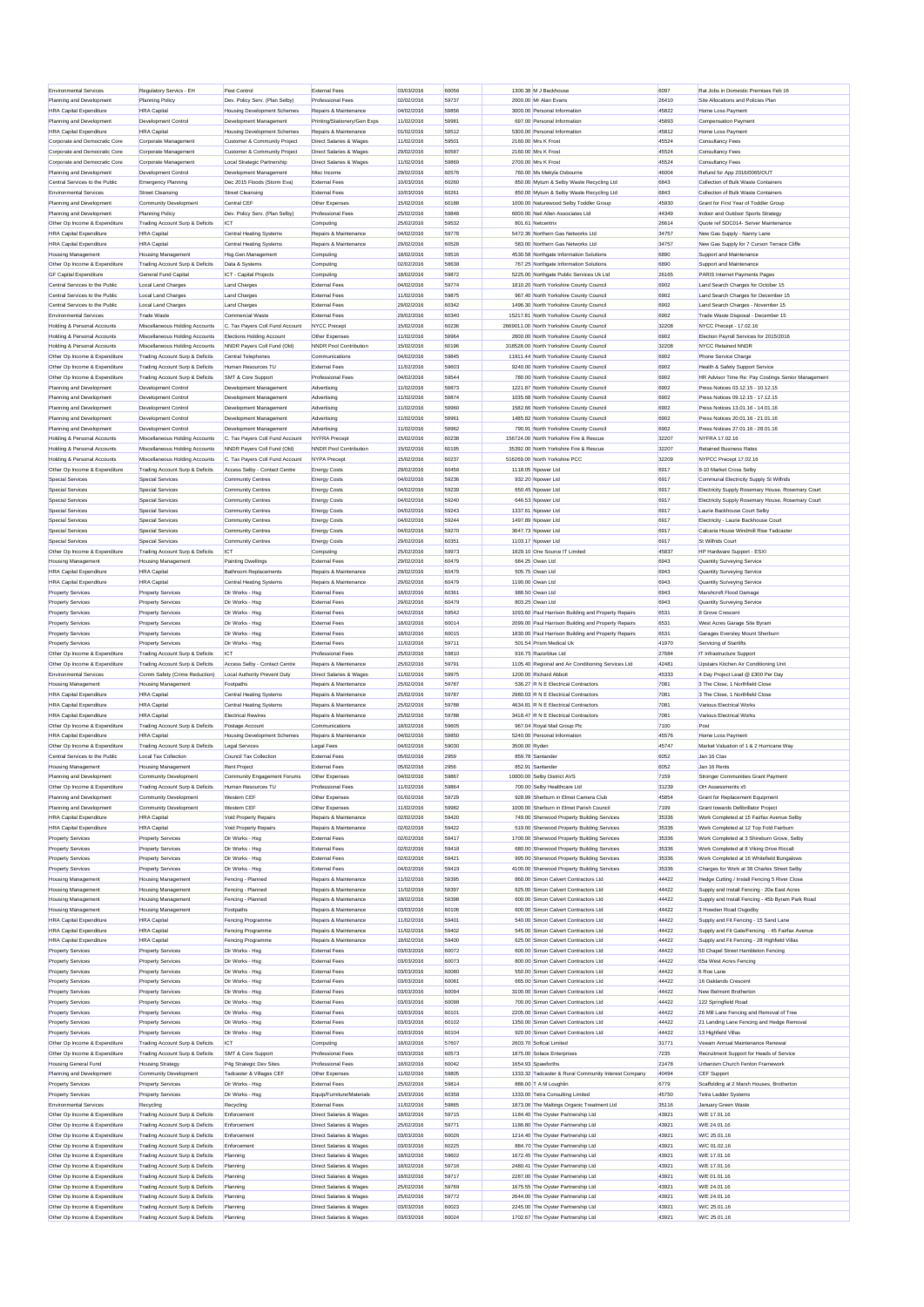| <b>Environmental Services</b>                                  |                                                                    |                                    |                                                               |                          |                |                                                                                  |                |                                                    |
|----------------------------------------------------------------|--------------------------------------------------------------------|------------------------------------|---------------------------------------------------------------|--------------------------|----------------|----------------------------------------------------------------------------------|----------------|----------------------------------------------------|
|                                                                | Regulatory Servics - EH                                            | Pest Control                       | <b>External Fees</b>                                          | 03/03/2016               | 60056          | 1300.38 M J Backhouse                                                            | 6097           | Rat Jobs in Domestic Premises Feb 16               |
| Planning and Development                                       | Planning Policy                                                    | Dev. Policy Serv. (Plan Selby)     | Professional Fees                                             | 02/02/2016               | 59737          | 2000.00 Mr Alan Evans                                                            | 26410          | Site Allocations and Policies Plan                 |
| <b>HRA Capital Expenditure</b>                                 | <b>HRA</b> Capital                                                 | <b>Housing Development Schemes</b> | Repairs & Maintenance                                         | 04/02/2016               | 59856          | 3000.00 Personal Information                                                     | 45822          | Home Loss Payment                                  |
| Planning and Development                                       | Development Control                                                | Development Management             | Printing/Stationery/Gen Exps                                  | 11/02/2016               | 59981          | 697.00 Personal Information                                                      | 45893          | Compensation Payment                               |
| <b>HRA Capital Expenditure</b>                                 | <b>HRA</b> Capital                                                 | Housing Development Schemes        | Repairs & Maintenance                                         | 01/02/2016               | 59512          | 5300.00 Personal Information                                                     | 45812          | Home Loss Payment                                  |
| Corporate and Democratic Core                                  | Corporate Management                                               | Customer & Community Project       | Direct Salaries & Wages                                       | 11/02/2016               | 59501          | 2160.00 Mrs K Frost                                                              | 45524          | Consultancy Fees                                   |
| Corporate and Democratic Core                                  | Corporate Management                                               | Customer & Community Project       | Direct Salaries & Wages                                       | 29/02/2016               | 60587          | 2160.00 Mrs K Frost                                                              | 45524          | Consultancy Fees                                   |
| Corporate and Democratic Core                                  | Corporate Management                                               | Local Strategic Partnership        | Direct Salaries & Wages                                       | 11/02/2016               | 59869          | 2700.00 Mrs K Frost                                                              | 45524          | Consultancy Fees                                   |
| Planning and Development                                       | Development Control                                                | Development Management             | Misc Income                                                   | 29/02/2016               | 60576          | 760.00 Ms Mekyla Osbourne                                                        | 46004          | Refund for App 2016/0065/OUT                       |
| Central Services to the Public                                 | <b>Emergency Planning</b>                                          | Dec 2015 Floods (Storm Eva)        | <b>Fxternal Fees</b>                                          | 10/03/2016               | 60260          | 850.00 Mytum & Selby Waste Recycling Ltd                                         | 6843           | Collection of Bulk Waste Containers                |
|                                                                |                                                                    |                                    |                                                               |                          |                |                                                                                  |                |                                                    |
| <b>Environmental Services</b>                                  | <b>Street Cleansing</b>                                            | <b>Street Cleansing</b>            | External Fees                                                 | 10/03/2016               | 60261          | 850.00 Mytum & Selby Waste Recycling Ltd                                         | 6843           | Collection of Bulk Waste Containers                |
| Planning and Development                                       | Community Development                                              | Central CER                        | Other Expenses                                                | 15/02/2016               | 60188          | 1000.00 Naturewood Selby Toddler Group                                           | 45930          | Grant for First Year of Toddler Group              |
| Planning and Development                                       | Planning Policy                                                    | Dev. Policy Serv. (Plan Selby)     | <b>Professional Fees</b>                                      | 25/02/2016               | 59848          | 6000.00 Neil Allen Associates Ltd                                                | 44349          | Indoor and Outdoor Sports Strategy                 |
| Other Op Income & Expenditure                                  | Trading Account Surp & Deficits                                    | <b>ICT</b>                         | Computing                                                     | 25/02/2016               | 59532          | 801.61 Netcentrix                                                                | 26614          | Quote ref SDC014- Server Maintenance               |
| <b>HRA Capital Expenditure</b>                                 | <b>HRA</b> Capital                                                 | Central Heating Systems            | Repairs & Maintenance                                         | 04/02/2016               | 59778          | 5472.36 Northern Gas Networks Ltd                                                | 34757          | New Gas Supply - Nanny Lane                        |
| <b>HRA Capital Expenditure</b>                                 | <b>HRA</b> Capital                                                 | Central Heating Systems            | Repairs & Maintenance                                         | 29/02/2016               | 60528          | 583.00 Northern Gas Networks Ltd                                                 | 34757          | New Gas Supply for 7 Curson Terrace Cliffe         |
| <b>Housing Management</b>                                      | <b>Housing Management</b>                                          | Hsg.Gen.Management                 | Computing                                                     | 18/02/2016               | 59516          | 4530.58 Northgate Information Solutions                                          | 6890           | Support and Maintenance                            |
| Other Op Income & Expenditure                                  | Trading Account Surp & Deficits                                    | Data & Systems                     | Computing                                                     | 02/02/2016               | 58638          | 767.25 Northgate Information Solutions                                           | 6890           | Support and Maintenance                            |
| <b>GF Capital Expenditure</b>                                  | General Fund Capital                                               | ICT - Capital Projects             | Computing                                                     | 18/02/2016               | 59872          | 5225.00 Northgate Public Services Uk Ltd                                         | 26165          | PARIS Internet Payments Pages                      |
| Central Services to the Public                                 | Local Land Charges                                                 | <b>Land Charges</b>                | <b>External Fees</b>                                          | 04/02/2016               | 59774          | 1810.20 North Yorkshire County Council                                           | 6902           | Land Search Charges for October 15                 |
|                                                                |                                                                    |                                    |                                                               |                          |                |                                                                                  |                |                                                    |
| Central Services to the Public                                 | Local Land Charges                                                 | <b>Land Charges</b>                | External Fees                                                 | 11/02/2016               | 59875          | 967.40 North Yorkshire County Council                                            | 6902           | Land Search Charges for December 15                |
| Central Services to the Public                                 | Local Land Charges                                                 | <b>Land Charges</b>                | External Fees                                                 | 29/02/2016               | 60342          | 1496.30 North Yorkshire County Council                                           | 6902           | Land Search Charges - November 15                  |
| <b>Fnvironmental Services</b>                                  | <b>Trade Waste</b>                                                 | Commercial Waste                   | <b>External Fees</b>                                          | 29/02/2016               | 60340          | 15217.81 North Yorkshire County Council                                          | 6902           | Trade Waste Disposal - December 15                 |
| Holding & Personal Accounts                                    | Miscellaneous Holding Accounts                                     | C. Tax Payers Coll Fund Account    | NYCC Precept                                                  | 15/02/2016               | 60236          | 2669011.00 North Yorkshire County Council                                        | 32208          | NYCC Precept - 17.02.16                            |
| Holding & Personal Accounts                                    | Miscellaneous Holding Accounts                                     | Elections Holding Account          | Other Expenses                                                | 11/02/2016               | 59964          | 2600.00 North Yorkshire County Council                                           | 6902           | Election Payroll Services for 2015/2016            |
| <b>Holding &amp; Personal Accounts</b>                         | Miscellaneous Holding Accounts                                     | NNDR Payers Coll Fund (Old)        | NNDR Pool Contribution                                        | 15/02/2016               | 60196          | 318528.00 North Yorkshire County Council                                         | 32208          | <b>NYCC Retained NNDR</b>                          |
| Other Op Income & Expenditure                                  | Trading Account Surp & Deficits                                    | Central Telephones                 | Communications                                                | 04/02/2016               | 59845          | 11911.44 North Yorkshire County Council                                          | 6902           | Phone Service Charge                               |
| Other Op Income & Expenditure                                  | Trading Account Surp & Deficits                                    | Human Resources TU                 | <b>External Fees</b>                                          | 11/02/2016               | 59603          | 9240.00 North Yorkshire County Council                                           | 6902           | Health & Safety Support Service                    |
| Other Op Income & Expenditure                                  | Trading Account Surp & Deficits                                    | SMT & Core Support                 | Professional Fees                                             | 04/02/2016               | 59544          | 780.00 North Yorkshire County Council                                            | 6902           | HR Advisor Time Re: Pay Costings Senior Management |
| Planning and Development                                       | Development Control                                                | Development Management             | Advertising                                                   | 11/02/2016               | 59873          | 1221.87 North Yorkshire County Council                                           | 6902           | Press Notices 03 12 15 - 10 12 15                  |
|                                                                |                                                                    | Development Managemen              |                                                               |                          |                |                                                                                  |                | Press Notices 09.12.15 - 17.12.15                  |
| Planning and Development                                       | Development Control                                                |                                    | Advertising                                                   | 11/02/2016               | 59874          | 1035.68 North Yorkshire County Council<br>1582 66 North Yorkshire County Council | 6902           |                                                    |
| Planning and Development                                       | Development Control                                                | Development Management             | Advertising                                                   | 11/02/2016               | 59960          |                                                                                  | 6902           | Press Notices 13.01.16 - 14.01.16                  |
| Planning and Development                                       | Development Control                                                | Development Management             | Advertising                                                   | 11/02/2016               | 59961          | 1485.82 North Yorkshire County Council                                           | 6902           | Press Notices 20.01.16 - 21.01.16                  |
| Planning and Development                                       | Development Control                                                | Development Management             | Advertising                                                   | 11/02/2016               | 59962          | 790.91 North Yorkshire County Council                                            | 6902           | Press Notices 27.01.16 - 28.01.16                  |
| Holding & Personal Accounts                                    | Miscellaneous Holding Accounts                                     | C. Tax Pavers Coll Fund Account    | NYFRA Precept                                                 | 15/02/2016               | 60238          | 156724.00 North Yorkshire Fire & Rescue                                          | 32207          | NYFRA 17.02.16                                     |
| Holding & Personal Accounts                                    | Miscellaneous Holding Accounts                                     | NNDR Payers Coll Fund (Old)        | NNDR Pool Contribution                                        | 15/02/2016               | 60195          | 35392.00 North Yorkshire Fire & Rescue                                           | 32207          | <b>Retained Business Rates</b>                     |
| Holding & Personal Accounts                                    | Miscellaneous Holding Accounts                                     | C. Tax Payers Coll Fund Account    | NYPA Precept                                                  | 15/02/2016               | 60237          | 516269.00 North Yorkshire PCC                                                    | 32209          | NYPCC Precent 17.02.16                             |
| Other Op Income & Expenditure                                  | Trading Account Surp & Deficits                                    | Access Selby - Contact Centre      | <b>Energy Costs</b>                                           | 29/02/2016               | 60456          | 1118.05 Npower Ltd                                                               | 6917           | 8-10 Market Cross Selby                            |
| Special Services                                               | Special Services                                                   | Community Centres                  | <b>Energy Costs</b>                                           | 04/02/2016               | 59236          | 932.20 Npower Ltd                                                                | 6917           | Communal Electricity Supply St Wilfrids            |
| Special Services                                               | Special Services                                                   | Community Centres                  |                                                               | 04/02/2016               | 59239          | 650.45 Noower Ltd                                                                | 6917           | Electricity Supply Rosemary House, Rosemary Court  |
|                                                                |                                                                    |                                    | <b>Energy Costs</b>                                           |                          |                |                                                                                  |                |                                                    |
| Special Services                                               | Special Services                                                   | Community Centres                  | <b>Energy Costs</b>                                           | 04/02/2016               | 59240          | 646.53 Npower Ltd                                                                | 6917           | Electricity Supply Rosemary House, Rosemary Court  |
| Special Services                                               | Special Services                                                   | Community Centres                  | <b>Energy Costs</b>                                           | 04/02/2016               | 59243          | 1337.61 Noower Ltd                                                               | 6917           | Laurie Backhouse Court Selby                       |
| Special Services                                               | Special Services                                                   | Community Centres                  | <b>Energy Costs</b>                                           | 04/02/2016               | 59244          | 1497.89 Noower Ltd                                                               | 6917           | Electricity - Laurie Backhouse Court               |
| Special Services                                               | Special Services                                                   | Community Centres                  | <b>Energy Costs</b>                                           | 04/02/2016               | 59270          | 3647.73 Npower Ltd                                                               | 6917           | Calcaria House Windmill Rise Tadcaster             |
| Special Services                                               | Special Services                                                   | Community Centres                  | <b>Energy Costs</b>                                           | 29/02/2016               | 60351          | 1103.17 Noower Ltd                                                               | 6917           | St Wilfrids Court                                  |
| Other Op Income & Expenditure                                  | Trading Account Surp & Deficits                                    | <b>ICT</b>                         | Computing                                                     | 25/02/2016               | 59973          | 1829.10 One Source IT Limited                                                    | 45837          | HP Hardware Support - ESXI                         |
| Housing Management                                             | <b>Housing Management</b>                                          | Painting Dwellings                 | <b>External Fees</b>                                          | 29/02/2016               | 60479          | 684.25 Owan Ltd                                                                  | 6943           | Quantity Surveying Service                         |
| <b>HRA Capital Expenditure</b>                                 | <b>HRA</b> Capital                                                 | <b>Bathroom Replacements</b>       | Repairs & Maintenance                                         | 29/02/2016               | 60479          | 505.75 Owan Ltd                                                                  | 6943           | Quantity Surveying Service                         |
| <b>HRA Capital Expenditure</b>                                 | <b>HRA</b> Capital                                                 | Central Heating Systems            | Repairs & Maintenance                                         | 29/02/2016               | 60479          | 1190.00 Owan Ltd                                                                 | 6943           | Quantity Surveying Service                         |
| <b>Property Services</b>                                       | <b>Property Services</b>                                           | Dir Works - Hsg                    | External Fees                                                 | 18/02/2016               | 60361          | 988.50 Owan Ltd                                                                  | 6943           | Marshcroft Flood Damage                            |
|                                                                |                                                                    |                                    |                                                               |                          |                |                                                                                  |                |                                                    |
| <b>Property Services</b>                                       | <b>Property Services</b>                                           | Dir Works - Hsg                    | <b>External Fees</b>                                          | 29/02/2016               | 60479          | 803.25 Owan Ltd                                                                  | 6943           | Quantity Surveying Service                         |
| <b>Property Services</b>                                       | <b>Property Services</b>                                           | Dir Works - Hsa                    | <b>External Fees</b>                                          | 04/02/2016               | 59542          | 1093.60 Paul Harrison Building and Property Repairs                              | 6531           | 8 Grove Crescent                                   |
| <b>Property Services</b>                                       | <b>Property Services</b>                                           | Dir Works - Hsg                    | <b>External Fees</b>                                          | 18/02/2016               | 60014          | 2099.00 Paul Harrison Building and Property Repairs                              | 6531           | West Acres Garage Site Byram                       |
| <b>Property Services</b>                                       | <b>Property Services</b>                                           | Dir Works - Hsg                    | External Fees                                                 | 18/02/2016               | 60015          | 1830.00 Paul Harrison Building and Property Repairs                              | 6531           | Garages Eversley Mount Sherburn                    |
| <b>Property Services</b>                                       | <b>Property Services</b>                                           | Dir Works - Hsa                    | External Fees                                                 | 11/02/2016               | 59711          | 501.54 Prism Medical Uk                                                          | 41970          | Servicing of Stairlifts                            |
| Other Op Income & Expenditure                                  | Trading Account Surp & Deficits                                    | <b>ICT</b>                         | Professional Fees                                             | 25/02/2016               | 59810          | 916.75 Razorblue Ltd                                                             | 27684          | IT Infrastructure Support                          |
| Other Op Income & Expenditure                                  | Trading Account Surp & Deficits                                    | Access Selby - Contact Centre      |                                                               |                          |                |                                                                                  |                |                                                    |
|                                                                |                                                                    |                                    | Repairs & Maintenance                                         | 25/02/2016               | 59791          | 1105.40 Regional and Air Conditioning Services Ltd                               | 42481          | Upstairs Kitchen Air Conditioning Unit             |
| <b>Environmental Services</b>                                  |                                                                    | Local Authority Prevent Duty       | Direct Salaries & Wages                                       | 11/02/2016               | 59975          | 1200.00 Richard Abbott                                                           | 45333          | 4 Day Project Lead @ £300 Per Day                  |
|                                                                | Comm Safety (Crime Reduction)                                      |                                    |                                                               |                          |                | 536.27 R N E Electrical Contractors                                              |                |                                                    |
| <b>Housing Management</b>                                      | <b>Housing Management</b>                                          | Footpaths                          | Repairs & Maintenance                                         | 25/02/2016               | 59787          |                                                                                  | 7081           | 3 The Close, 1 Northfield Close                    |
| <b>HRA Capital Expenditure</b>                                 | <b>HRA</b> Capital                                                 | Central Heating Systems            | Repairs & Maintenance                                         | 25/02/2016               | 59787          | 2980.03 R N E Electrical Contractors                                             | 7081           | 3 The Close, 1 Northfield Close                    |
| <b>HRA Capital Expenditure</b>                                 | <b>HRA</b> Capital                                                 | Central Heating Systems            | Repairs & Maintenance                                         | 25/02/2016               | 59788          | 4634.81 R N E Electrical Contractors                                             | 7081           | Various Electrical Works                           |
| <b>HRA Capital Expenditure</b>                                 | <b>HRA</b> Canital                                                 | <b>Electrical Rewires</b>          | Repairs & Maintenance                                         | 25/02/2016               | 59788          | 3418.47 R N E Electrical Contractors                                             | 7081           | Various Electrical Works                           |
| Other Op Income & Expenditure                                  | Trading Account Surp & Deficits                                    | Postage Account                    | Communications                                                | 18/02/2016               | 59605          | 967.04 Royal Mail Group Plo                                                      | 7100           | Post                                               |
| <b>HRA Capital Expenditure</b>                                 | <b>HRA</b> Capital                                                 | Housing Development Schemes        | Repairs & Maintenance                                         | 04/02/2016               | 59850          | 5240.00 Personal Information                                                     | 45576          | Home Loss Payment                                  |
| Other Op Income & Expenditure                                  | Trading Account Surp & Deficits                                    | Legal Services                     | Legal Fees                                                    | 04/02/2016               | 59030          | 3500.00 Ryden                                                                    | 45747          | Market Valuation of 1 & 2 Hurricane Way            |
| Central Services to the Public                                 | Local Tax Collection                                               | Council Tax Collection             | <b>External Fees</b>                                          | 05/02/2016               | 2959           | 859.78 Santander                                                                 | 6052           | Jan 16 Cta                                         |
| Housing Management                                             | <b>Housing Management</b>                                          | <b>Rent Project</b>                | <b>Fxternal Fees</b>                                          | 05/02/2016               | 2956           | 852.91 Santander                                                                 | 6052           | Jan 16 Rents                                       |
| Planning and Development                                       | Community Development                                              | Community Engagement Forums        | Other Expenses                                                | 04/02/2016               | 59867          | 10000.00 Selby District AVS                                                      | 7159           | Stronger Communities Grant Payment                 |
| Other Op Income & Expenditure                                  | Trading Account Surp & Deficits                                    | Human Resources TU                 | Professional Fees                                             | 11/02/2016               | 59864          | 700.00 Selby Healthcare Ltd                                                      | 31239          | OH Assessments x5                                  |
|                                                                |                                                                    |                                    |                                                               |                          |                |                                                                                  |                |                                                    |
| Planning and Development                                       | Community Development                                              | Western CEF                        | Other Expenses                                                | 01/02/2016               | 59729          | 928.99 Sherburn in Elmet Camera Club                                             | 45854          | Grant for Replacement Equipment                    |
| Planning and Development                                       | Community Development                                              | Western CEF                        | Other Expenses                                                | 11/02/2016               | 59982          | 1000.00 Sherburn in Elmet Parish Council                                         | 7199           | Grant towards Defibrillator Project                |
| <b>HRA Capital Expenditure</b>                                 | <b>HRA</b> Canital                                                 | Void Property Repairs              | Repairs & Maintenance                                         | 02/02/2016               | 59420          | 749.00 Sherwood Property Building Services                                       | 35336          | Work Completed at 15 Fairfax Avenue Selby          |
| <b>HRA Capital Expenditure</b>                                 | <b>HRA</b> Capital                                                 | Void Property Repairs              | Repairs & Maintenance                                         | 02/02/2016               | 59422          | 519.00 Sherwood Property Building Services                                       | 35336          | Work Completed at 12 Top Fold Fairburn             |
| <b>Property Services</b>                                       | <b>Property Services</b>                                           | Dir Works - Hsg                    | External Fees                                                 | 02/02/2016               | 59417          | 1700.00 Sherwood Property Building Services                                      | 35336          | Work Completed at 3 Shireburn Grove, Selby         |
| <b>Property Services</b>                                       | <b>Property Services</b>                                           | Dir Works - Hsg                    | <b>External Fees</b>                                          | 02/02/2016               | 59418          | 680.00 Sherwood Property Building Services                                       | 35336          | Work Completed at 8 Viking Drive Riccall           |
| <b>Property Services</b>                                       | <b>Property Services</b>                                           | Dir Works - Hsg                    | <b>External Fees</b>                                          | 02/02/2016               | 59421          | 995.00 Sherwood Property Building Services                                       | 35336          | Work Completed at 16 Whitefield Bungalows          |
| <b>Property Services</b>                                       | <b>Property Services</b>                                           | Dir Works - Hsn                    | External Fees                                                 | 04/02/2016               | 59419          | 4100.00 Sherwood Property Building Services                                      | 35336          | Charges for Work at 38 Charles Street Selby        |
| <b>Housing Management</b>                                      | <b>Housing Management</b>                                          | Fencing - Planned                  | Repairs & Maintenance                                         | 11/02/2016               | 59395          | 860.00 Simon Calvert Contractors Ltd                                             | 44422          | Hedge Cutting / Install Fencing 5 River Close      |
| <b>Housing Management</b>                                      | <b>Housing Management</b>                                          | Fencing - Planned                  | Repairs & Maintenance                                         | 11/02/2016               | 59397          | 625.00 Simon Calvert Contractors Ltd                                             | 44422          | Supply and Install Fencing - 20a East Acres        |
| <b>Housing Management</b>                                      | <b>Housing Management</b>                                          | Fencing - Planned                  | Repairs & Maintenance                                         | 18/02/2016               | 59398          | 600.00 Simon Calvert Contractors Ltd                                             | 44422          | Supply and Install Fencing - 45b Byram Park Road   |
| <b>Housing Management</b>                                      | <b>Housing Management</b>                                          | Footpaths                          | Repairs & Maintenance                                         | 03/03/2016               | 60106          | 600.00 Simon Calvert Contractors Ltd                                             | 44422          | 3 Howden Road Osgodby                              |
| <b>HRA Capital Expenditure</b>                                 | <b>HRA</b> Capital                                                 | Fencing Programme                  | Repairs & Maintenance                                         | 11/02/2016               | 59401          | 540.00 Simon Calvert Contractors Ltd                                             | 44422          | Supply and Fit Fencing - 15 Sand Lane              |
|                                                                | <b>HRA</b> Capital                                                 |                                    | Repairs & Maintenance                                         | 11/02/2016               | 59402          | 545.00 Simon Calvert Contractors Ltd                                             | 44422          |                                                    |
| <b>HRA Capital Expenditure</b>                                 |                                                                    | Fencing Programme                  | Repairs & Maintenance                                         | 18/02/2016               | 59400          | 625.00 Simon Calvert Contractors Ltd                                             | 44422          | Supply and Fit Gate/Fencing - 45 Fairfax Avenue    |
| <b>HRA Capital Expenditure</b>                                 | <b>HRA</b> Capital                                                 | Fencing Programme                  |                                                               |                          |                |                                                                                  |                | Supply and Fit Fencing - 28 Highfield Villas       |
| <b>Property Services</b>                                       | <b>Property Services</b>                                           | Dir Works - Hsg                    | <b>Fxternal Fees</b>                                          | 03/03/2016               | 60072          | 600.00 Simon Calvert Contractors Ltd                                             | 44422          | 50 Chapel Street Hambleton Fencing                 |
| <b>Property Services</b>                                       | <b>Property Services</b>                                           | Dir Works - Hsg                    | External Fees                                                 | 03/03/2016               | 60073          | 800.00 Simon Calvert Contractors Ltd                                             | 44422          | 65a West Acres Fencing                             |
| <b>Property Services</b>                                       | <b>Property Services</b>                                           | Dir Works - Hsa                    | External Fees                                                 | 03/03/2016               | 60080          | 550.00 Simon Calvert Contractors Ltd.                                            | 44422          | 6 Roe Lane                                         |
| <b>Property Services</b>                                       | <b>Property Services</b>                                           | Dir Works - Hsg                    | <b>External Fees</b>                                          | 03/03/2016               | 60081          | 665.00 Simon Calvert Contractors Ltd                                             | 44422          | 16 Oaklands Crescent                               |
| <b>Property Services</b>                                       | <b>Property Services</b>                                           | Dir Works - Hsg                    | External Fees                                                 | 03/03/2016               | 60094          | 3100.00 Simon Calvert Contractors Ltd                                            | 44422          | New Belmont Brotherton                             |
| <b>Property Services</b>                                       | <b>Property Services</b>                                           | Dir Works - Hsg                    | <b>External Fees</b>                                          | 03/03/2016               | 60098          | 700.00 Simon Calvert Contractors Ltd                                             | 44422          | 122 Springfield Road                               |
| <b>Property Services</b>                                       | <b>Property Services</b>                                           | Dir Works - Hsg                    | <b>External Fees</b>                                          | 03/03/2016               | 60101          | 2205.00 Simon Calvert Contractors Ltd                                            | 44422          | 26 Mill Lane Fencing and Removal of Tree           |
| <b>Property Services</b>                                       | <b>Property Services</b>                                           | Dir Works - Hsa                    | <b>External Fees</b>                                          | 03/03/2016               | 60102          | 1350.00 Simon Calvert Contractors Ltd                                            | 44422          | 21 Landing Lane Fencing and Hedge Removal          |
| <b>Property Services</b>                                       | <b>Property Services</b>                                           | Dir Works - Hsg                    | <b>External Fees</b>                                          | 03/03/2016               | 60104          | 920.00 Simon Calvert Contractors Ltd                                             | 44422          | 13 Highfield Villas                                |
|                                                                |                                                                    | ICT                                | Computing                                                     |                          |                | 2603.70 Softcat Limited                                                          | 31771          |                                                    |
| Other Op Income & Expenditure                                  | Trading Account Surp & Deficits                                    |                                    | <b>Professional Fees</b>                                      | 18/02/2016               | 57607<br>60573 |                                                                                  |                | Veeam Annual Maintenance Renewal                   |
| Other Op Income & Expenditure                                  | Trading Account Surp & Deficits                                    | SMT & Core Support                 |                                                               | 03/03/2016               |                | 1875.00 Solace Enterprises                                                       | 7235           | Recruitment Support for Heads of Service           |
| <b>Housing General Fund</b>                                    | <b>Housing Strategy</b>                                            | P4g Strategic Dev Sites            | <b>Professional Fees</b>                                      | 18/02/2016               | 60042          | 1654.93 Spawforths                                                               | 21478          | Urbanism Church Fenton Framework                   |
| Planning and Development                                       | Community Development                                              | Tadcaster & Villages CEF           | Other Expenses                                                | 11/02/2016               | 59805          | 1333.32 Tadcaster & Rural Community Interest Company                             | 40494          | CEF Support                                        |
| <b>Property Services</b>                                       | <b>Property Services</b>                                           | Dir Works - Hsg                    | External Fees                                                 | 25/02/2016               | 59814          | 888.00 T A M Loughlin                                                            | 6779           | Scaffolding at 2 Marsh Houses, Brotherton          |
| <b>Property Services</b>                                       | <b>Property Services</b>                                           | Dir Works - Hsg                    | Equip/Furniture/Materials                                     | 15/03/2016               | 60358          | 1333.00 Tetra Consulting Limited                                                 | 45750          | Tetra Ladder Systems                               |
| <b>Environmental Services</b>                                  | Recycling                                                          | Recycling                          | <b>External Fees</b>                                          | 11/02/2016               | 59865          | 1873.06 The Maltings Organic Treatment Ltd                                       | 35116          | January Green Waste                                |
| Other Op Income & Expenditure                                  | Trading Account Surp & Deficits                                    | Enforcement                        | Direct Salaries & Wages                                       | 18/02/2016               | 59715          | 1184.40 The Oyster Partnership Ltd                                               | 43921          | W/E 17.01.16                                       |
| Other Op Income & Expenditure                                  | Trading Account Surp & Deficits                                    | Enforcement                        | <b>Direct Salaries &amp; Wages</b>                            | 25/02/2016               | 59771          | 1186.80 The Ovster Partnership Ltd                                               | 43921          | W/E 24.01.16                                       |
| Other Op Income & Expenditure                                  | Trading Account Surp & Deficits                                    | Enforcement                        | Direct Salaries & Wages                                       | 03/03/2016               | 60026          | 1214.40 The Oyster Partnership Ltd                                               | 43921          | W/C 25.01.16                                       |
| Other Op Income & Expenditure                                  | Trading Account Surp & Deficits                                    | Enforcement                        | <b>Direct Salaries &amp; Wages</b>                            | 03/03/2016               | 60225          | 884.70 The Oyster Partnership Ltd                                                | 43921          | W/C 01.02.16                                       |
|                                                                |                                                                    |                                    | <b>Direct Salaries &amp; Wages</b>                            |                          | 59602          |                                                                                  |                | W/E 17.01.16                                       |
| Other Op Income & Expenditure                                  | Trading Account Surp & Deficits                                    | Planning                           |                                                               | 18/02/2016               |                | 1672.45 The Oyster Partnership Ltd                                               | 43921          |                                                    |
| Other Op Income & Expenditure                                  | Trading Account Surp & Deficits                                    | Planning                           | Direct Salaries & Wager                                       | 18/02/2016               | 59716          | 2480.41 The Oyster Partnership Ltd                                               | 43921          | W/E 17.01.16                                       |
| Other Op Income & Expenditure                                  | Trading Account Surp & Deficits                                    | Planning                           | <b>Direct Salaries &amp; Wages</b>                            | 18/02/2016               | 59717          | 2287.00 The Oyster Partnership Ltd                                               | 43921          | W/E 01.01.16                                       |
| Other Op Income & Expenditure                                  | Trading Account Surp & Deficits                                    | Planning                           | Direct Salaries & Wages                                       | 25/02/2016               | 59769          | 1675.55 The Oyster Partnership Ltd                                               | 43921          | W/E 24.01.16                                       |
| Other Op Income & Expenditure                                  | Trading Account Surp & Deficits                                    | Planning                           | Direct Salaries & Wages                                       | 25/02/2016               | 59772          | 2644.00 The Oyster Partnership Ltd                                               | 43921          | W/E 24.01.16                                       |
| Other Op Income & Expenditure<br>Other Op Income & Expenditure | Trading Account Surp & Deficits<br>Trading Account Surp & Deficits | Planning<br>Planning               | <b>Direct Salaries &amp; Wager</b><br>Direct Salaries & Wages | 03/03/2016<br>03/03/2016 | 60023<br>60024 | 2245.00 The Oyster Partnership Ltd<br>1702.67 The Oyster Partnership Ltd         | 43921<br>43921 | W/C 25.01.16<br>W/C 25.01.16                       |